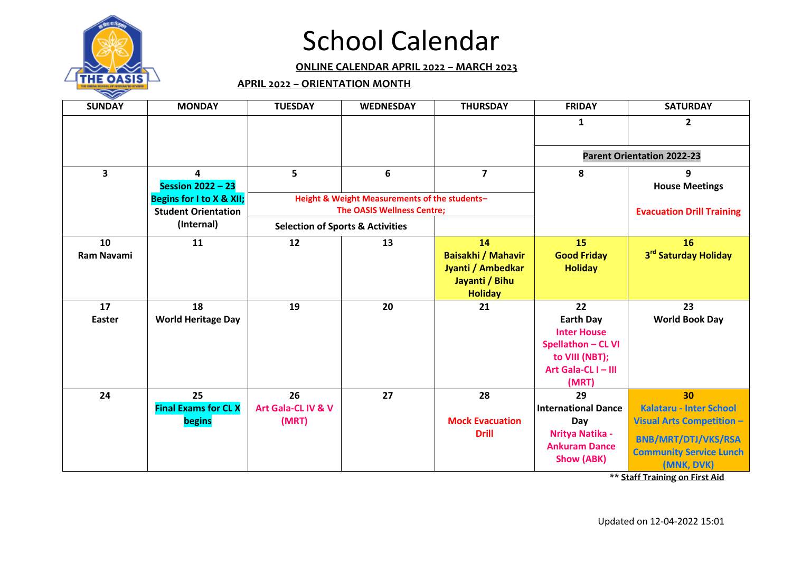

# School Calendar

## **ONLINE CALENDAR APRIL 2022 – MARCH 2023**

 **APRIL 2022 – ORIENTATION MONTH**

| <b>SUNDAY</b>     | <b>MONDAY</b>               | <b>TUESDAY</b>     | <b>WEDNESDAY</b>                              | <b>THURSDAY</b>           | <b>FRIDAY</b>              | <b>SATURDAY</b>                   |
|-------------------|-----------------------------|--------------------|-----------------------------------------------|---------------------------|----------------------------|-----------------------------------|
|                   |                             |                    |                                               |                           | $\mathbf{1}$               | $\overline{2}$                    |
|                   |                             |                    |                                               |                           |                            |                                   |
|                   |                             |                    |                                               |                           |                            | <b>Parent Orientation 2022-23</b> |
| 3                 | $\overline{\mathbf{4}}$     | 5                  | 6                                             | $\overline{7}$            | 8                          | 9                                 |
|                   | <b>Session 2022 - 23</b>    |                    |                                               |                           |                            | <b>House Meetings</b>             |
|                   | Begins for I to X & XII;    |                    | Height & Weight Measurements of the students- |                           |                            |                                   |
|                   | <b>Student Orientation</b>  |                    | <b>The OASIS Wellness Centre;</b>             |                           |                            | <b>Evacuation Drill Training</b>  |
|                   | (Internal)                  |                    | <b>Selection of Sports &amp; Activities</b>   |                           |                            |                                   |
| 10                | 11                          | 12                 | 13                                            | 14                        | 15                         | 16                                |
| <b>Ram Navami</b> |                             |                    |                                               | <b>Baisakhi / Mahavir</b> | <b>Good Friday</b>         | 3rd Saturday Holiday              |
|                   |                             |                    |                                               | Jyanti / Ambedkar         | <b>Holiday</b>             |                                   |
|                   |                             |                    |                                               | Jayanti / Bihu            |                            |                                   |
|                   |                             |                    |                                               | <b>Holiday</b>            |                            |                                   |
| 17                | 18                          | 19                 | 20                                            | 21                        | 22                         | 23                                |
| <b>Easter</b>     | <b>World Heritage Day</b>   |                    |                                               |                           | <b>Earth Day</b>           | <b>World Book Day</b>             |
|                   |                             |                    |                                               |                           | <b>Inter House</b>         |                                   |
|                   |                             |                    |                                               |                           | Spellathon - CL VI         |                                   |
|                   |                             |                    |                                               |                           | to VIII (NBT);             |                                   |
|                   |                             |                    |                                               |                           | Art Gala-CL I-III          |                                   |
| 24                | 25                          | 26                 | 27                                            | 28                        | (MRT)<br>29                | 30                                |
|                   | <b>Final Exams for CL X</b> | Art Gala-CL IV & V |                                               |                           | <b>International Dance</b> | <b>Kalataru - Inter School</b>    |
|                   |                             |                    |                                               | <b>Mock Evacuation</b>    |                            | <b>Visual Arts Competition -</b>  |
|                   | begins                      | (MRT)              |                                               | <b>Drill</b>              | Day<br>Nritya Natika -     |                                   |
|                   |                             |                    |                                               |                           | <b>Ankuram Dance</b>       | <b>BNB/MRT/DTJ/VKS/RSA</b>        |
|                   |                             |                    |                                               |                           | Show (ABK)                 | <b>Community Service Lunch</b>    |
|                   |                             |                    |                                               |                           |                            | (MNK, DVK)                        |

**\*\* Staff Training on First Aid**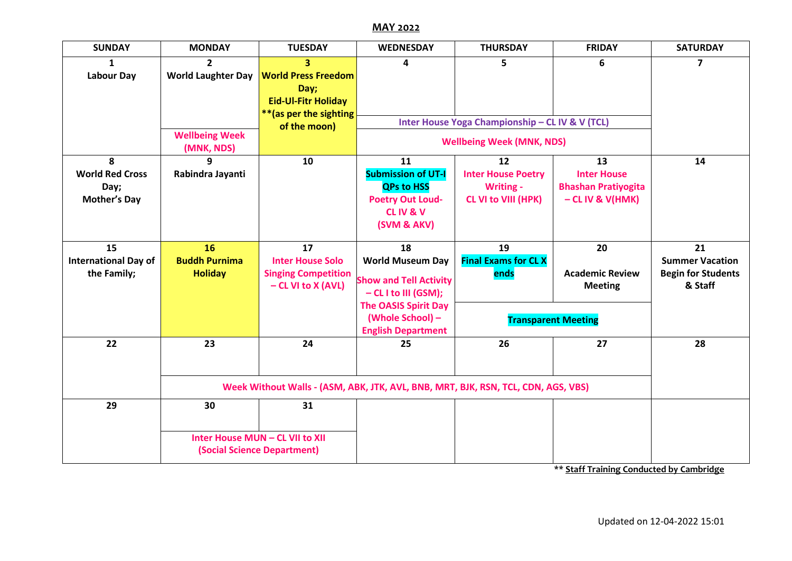**MAY 2022**

| <b>SUNDAY</b>                                              | <b>MONDAY</b>                                                                    | <b>TUESDAY</b>                                                                                                    | <b>WEDNESDAY</b>                                                                                                                                                         | <b>THURSDAY</b>                                                                          | <b>FRIDAY</b>                                                                | <b>SATURDAY</b>                                                      |
|------------------------------------------------------------|----------------------------------------------------------------------------------|-------------------------------------------------------------------------------------------------------------------|--------------------------------------------------------------------------------------------------------------------------------------------------------------------------|------------------------------------------------------------------------------------------|------------------------------------------------------------------------------|----------------------------------------------------------------------|
| 1<br><b>Labour Day</b>                                     | $\mathbf{2}$<br><b>World Laughter Day</b><br><b>Wellbeing Week</b><br>(MNK, NDS) | 3.<br><b>World Press Freedom</b><br>Day;<br><b>Eid-Ul-Fitr Holiday</b><br>** (as per the sighting<br>of the moon) | 4                                                                                                                                                                        | 5<br>Inter House Yoga Championship - CL IV & V (TCL)<br><b>Wellbeing Week (MNK, NDS)</b> | 6                                                                            | 7                                                                    |
| 8<br><b>World Red Cross</b><br>Day;<br><b>Mother's Day</b> | 9<br>Rabindra Jayanti                                                            | 10                                                                                                                | 11<br><b>Submission of UT-I</b><br><b>QPs to HSS</b><br><b>Poetry Out Loud-</b><br><b>CLIV&amp;V</b><br>(SVM & AKV)                                                      | 12<br><b>Inter House Poetry</b><br>Writing -<br><b>CL VI to VIII (HPK)</b>               | 13<br><b>Inter House</b><br><b>Bhashan Pratiyogita</b><br>$-$ CL IV & V(HMK) | 14                                                                   |
| 15<br><b>International Day of</b><br>the Family;           | 16<br><b>Buddh Purnima</b><br><b>Holiday</b>                                     | 17<br><b>Inter House Solo</b><br><b>Singing Competition</b><br>$-$ CL VI to X (AVL)                               | 18<br><b>World Museum Day</b><br><b>Show and Tell Activity</b><br>$-$ CL I to III (GSM);<br><b>The OASIS Spirit Day</b><br>(Whole School) -<br><b>English Department</b> | 19<br><b>Final Exams for CL X</b><br>ends                                                | 20<br><b>Academic Review</b><br><b>Meeting</b><br><b>Transparent Meeting</b> | 21<br><b>Summer Vacation</b><br><b>Begin for Students</b><br>& Staff |
| 22                                                         | 23                                                                               | 24                                                                                                                | 25<br>Week Without Walls - (ASM, ABK, JTK, AVL, BNB, MRT, BJK, RSN, TCL, CDN, AGS, VBS)                                                                                  | 26                                                                                       | 27                                                                           | 28                                                                   |
| 29                                                         | 30                                                                               | 31<br>Inter House MUN - CL VII to XII<br>(Social Science Department)                                              |                                                                                                                                                                          |                                                                                          |                                                                              |                                                                      |

**\*\* Staff Training Conducted by Cambridge**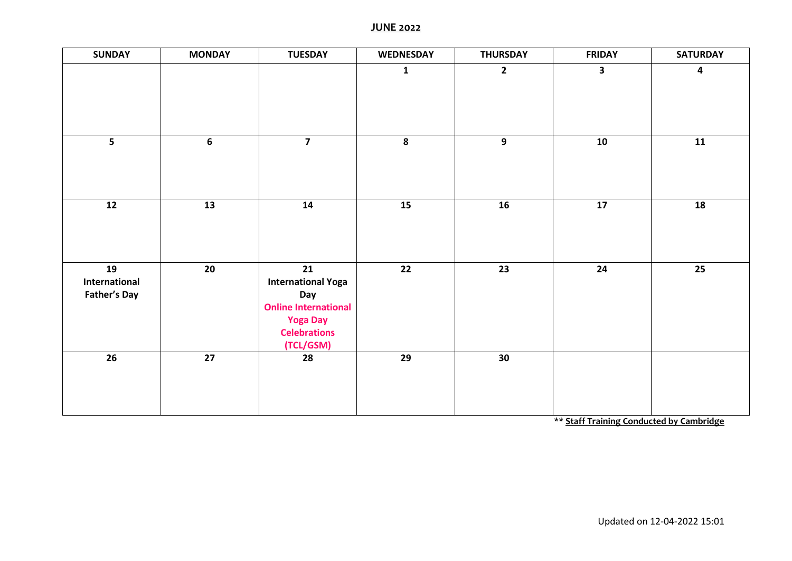#### **JUNE 2022**

| <b>SUNDAY</b>                              | <b>MONDAY</b>    | <b>TUESDAY</b>                                                                                                               | WEDNESDAY       | <b>THURSDAY</b> | <b>FRIDAY</b>           | <b>SATURDAY</b> |
|--------------------------------------------|------------------|------------------------------------------------------------------------------------------------------------------------------|-----------------|-----------------|-------------------------|-----------------|
|                                            |                  |                                                                                                                              | $\mathbf{1}$    | $\mathbf{2}$    | $\overline{\mathbf{3}}$ | 4               |
| 5                                          | $\boldsymbol{6}$ | $\overline{\mathbf{z}}$                                                                                                      | 8               | $\overline{9}$  | 10                      | 11              |
| $\overline{12}$                            | $\overline{13}$  | 14                                                                                                                           | 15              | 16              | 17                      | 18              |
| 19<br>International<br><b>Father's Day</b> | 20               | 21<br><b>International Yoga</b><br>Day<br><b>Online International</b><br><b>Yoga Day</b><br><b>Celebrations</b><br>(TCL/GSM) | $\overline{22}$ | 23              | 24                      | 25              |
| 26                                         | $\overline{27}$  | 28                                                                                                                           | 29              | 30 <sup>°</sup> |                         |                 |

**\*\* Staff Training Conducted by Cambridge**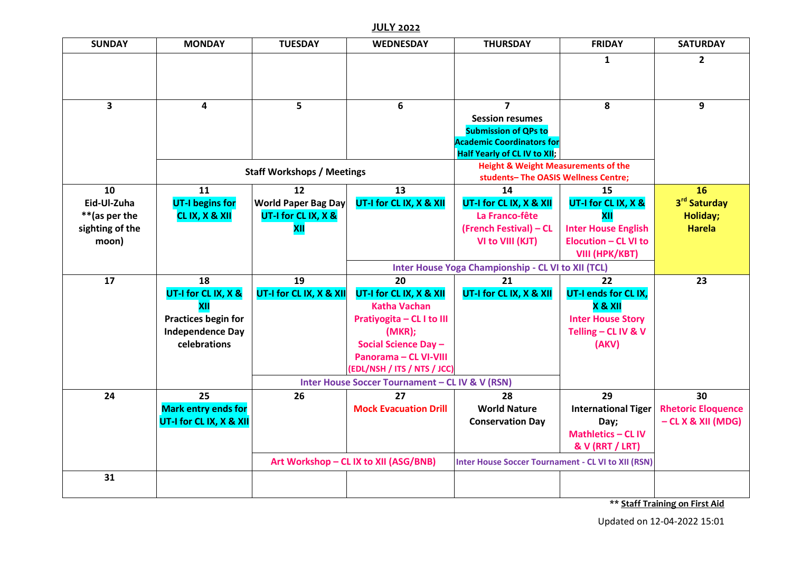**JULY 2022**

| <b>SUNDAY</b>           | <b>MONDAY</b>              | <b>TUESDAY</b>                    | <b>WEDNESDAY</b>                                | <b>THURSDAY</b>                                    | <b>FRIDAY</b>                                                                         | <b>SATURDAY</b>           |  |
|-------------------------|----------------------------|-----------------------------------|-------------------------------------------------|----------------------------------------------------|---------------------------------------------------------------------------------------|---------------------------|--|
|                         |                            |                                   |                                                 |                                                    | 1                                                                                     | $\mathbf{2}$              |  |
|                         |                            |                                   |                                                 |                                                    |                                                                                       |                           |  |
|                         |                            |                                   |                                                 |                                                    |                                                                                       |                           |  |
| $\overline{\mathbf{3}}$ | 4                          | 5                                 | 6                                               | $\overline{7}$                                     | 8                                                                                     | 9                         |  |
|                         |                            |                                   |                                                 | <b>Session resumes</b>                             |                                                                                       |                           |  |
|                         |                            |                                   |                                                 | <b>Submission of QPs to</b>                        |                                                                                       |                           |  |
|                         |                            |                                   |                                                 | <b>Academic Coordinators for</b>                   |                                                                                       |                           |  |
|                         |                            |                                   |                                                 | Half Yearly of CL IV to XII;                       |                                                                                       |                           |  |
|                         |                            | <b>Staff Workshops / Meetings</b> |                                                 |                                                    | <b>Height &amp; Weight Measurements of the</b><br>students-The OASIS Wellness Centre; |                           |  |
| 10                      | 11                         | 12                                | 13                                              | 14                                                 | 15                                                                                    | 16                        |  |
| Eid-Ul-Zuha             | <b>UT-I begins for</b>     | <b>World Paper Bag Day</b>        | UT-I for CL IX, X & XII                         | UT-I for CL IX, X & XII                            | UT-I for CL IX, X &                                                                   | 3rd Saturday              |  |
| ** (as per the          | CL IX, X & XII             | UT-I for CL IX, X &               |                                                 | La Franco-fête                                     | <b>XII</b>                                                                            | Holiday;                  |  |
| sighting of the         |                            | XII                               |                                                 | (French Festival) - CL                             | <b>Inter House English</b>                                                            | <b>Harela</b>             |  |
| moon)                   |                            |                                   |                                                 | VI to VIII (KJT)                                   | <b>Elocution - CL VI to</b>                                                           |                           |  |
|                         |                            |                                   |                                                 |                                                    | VIII (HPK/KBT)                                                                        |                           |  |
|                         |                            |                                   |                                                 | Inter House Yoga Championship - CL VI to XII (TCL) |                                                                                       |                           |  |
| 17                      | 18                         | 19                                | 20                                              | 21                                                 | 22                                                                                    | 23                        |  |
|                         | UT-I for CL IX, X &        | UT-I for CL IX, X & XII           | UT-I for CL IX, X & XII                         | UT-I for CL IX, X & XII                            | UT-I ends for CL IX,                                                                  |                           |  |
|                         | XII                        |                                   | <b>Katha Vachan</b>                             |                                                    | <b>X &amp; XII</b>                                                                    |                           |  |
|                         | Practices begin for        |                                   | Pratiyogita - CL I to III                       |                                                    | <b>Inter House Story</b>                                                              |                           |  |
|                         | <b>Independence Day</b>    |                                   | (MKR);                                          |                                                    | Telling - CL IV & V                                                                   |                           |  |
|                         | celebrations               |                                   | Social Science Day -                            |                                                    | (AKV)                                                                                 |                           |  |
|                         |                            |                                   | Panorama - CL VI-VIII                           |                                                    |                                                                                       |                           |  |
|                         |                            |                                   | (EDL/NSH / ITS / NTS / JCC)                     |                                                    |                                                                                       |                           |  |
|                         |                            |                                   | Inter House Soccer Tournament - CL IV & V (RSN) |                                                    |                                                                                       |                           |  |
| 24                      | 25                         | 26                                | 27                                              | 28                                                 | 29                                                                                    | 30                        |  |
|                         | <b>Mark entry ends for</b> |                                   | <b>Mock Evacuation Drill</b>                    | <b>World Nature</b>                                | <b>International Tiger</b>                                                            | <b>Rhetoric Eloquence</b> |  |
|                         | UT-I for CL IX, X & XII    |                                   |                                                 | <b>Conservation Day</b>                            | Day;<br><b>Mathletics - CL IV</b>                                                     | $-CL X & XII (MDG)$       |  |
|                         |                            |                                   |                                                 |                                                    | <b>&amp; V (RRT / LRT)</b>                                                            |                           |  |
|                         |                            |                                   | Art Workshop - CL IX to XII (ASG/BNB)           | Inter House Soccer Tournament - CL VI to XII (RSN) |                                                                                       |                           |  |
|                         |                            |                                   |                                                 |                                                    |                                                                                       |                           |  |
| 31                      |                            |                                   |                                                 |                                                    |                                                                                       |                           |  |
|                         |                            |                                   |                                                 |                                                    |                                                                                       |                           |  |

**\*\* Staff Training on First Aid**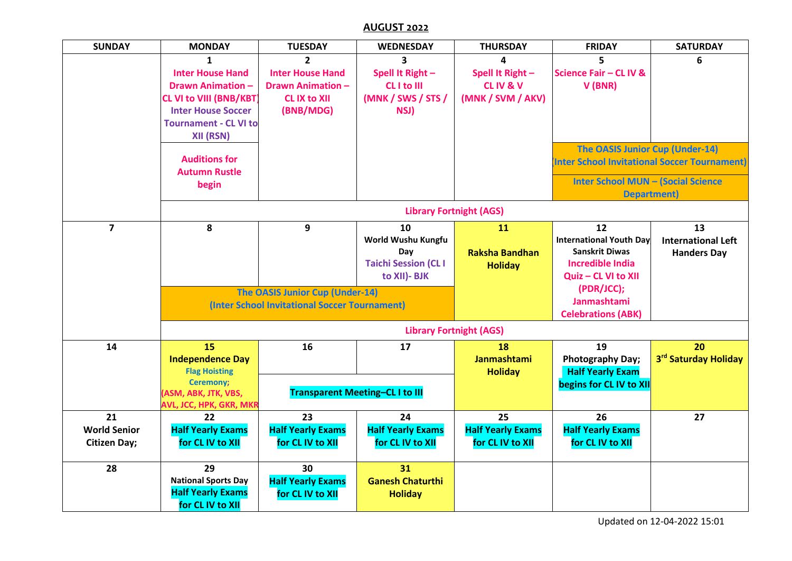# **AUGUST 2022**

| <b>SUNDAY</b>                                    | <b>MONDAY</b>                                                                                                                                                        | <b>TUESDAY</b>                                                                          | <b>WEDNESDAY</b>                                                               | <b>THURSDAY</b>                                            | <b>FRIDAY</b>                                                                                                   | <b>SATURDAY</b>                                       |
|--------------------------------------------------|----------------------------------------------------------------------------------------------------------------------------------------------------------------------|-----------------------------------------------------------------------------------------|--------------------------------------------------------------------------------|------------------------------------------------------------|-----------------------------------------------------------------------------------------------------------------|-------------------------------------------------------|
|                                                  | 1<br><b>Inter House Hand</b><br><b>Drawn Animation -</b><br><b>CL VI to VIII (BNB/KBT)</b><br><b>Inter House Soccer</b><br><b>Tournament - CL VI to</b><br>XII (RSN) | <b>Inter House Hand</b><br><b>Drawn Animation -</b><br><b>CLIX to XII</b><br>(BNB/MDG)  | 3<br>Spell It Right -<br><b>CLI</b> to III<br>(MNK / SWS / STS /<br>NSJ)       | Spell It Right -<br><b>CLIV&amp;V</b><br>(MNK / SVM / AKV) | 5<br>Science Fair - CL IV &<br>V (BNR)<br><b>The OASIS Junior Cup (Under-14)</b>                                | 6                                                     |
|                                                  | <b>Auditions for</b><br><b>Autumn Rustle</b><br>begin                                                                                                                |                                                                                         |                                                                                |                                                            | <b>Inter School MUN - (Social Science</b><br><b>Department</b> )                                                | <b>Inter School Invitational Soccer Tournament)</b>   |
|                                                  |                                                                                                                                                                      |                                                                                         |                                                                                | <b>Library Fortnight (AGS)</b>                             |                                                                                                                 |                                                       |
| $\overline{7}$                                   | 8                                                                                                                                                                    | 9                                                                                       | 10<br>World Wushu Kungfu<br>Day<br><b>Taichi Session (CL I</b><br>to XII)- BJK | 11<br><b>Raksha Bandhan</b><br><b>Holiday</b>              | 12<br><b>International Youth Day</b><br><b>Sanskrit Diwas</b><br><b>Incredible India</b><br>Quiz - CL VI to XII | 13<br><b>International Left</b><br><b>Handers Day</b> |
|                                                  |                                                                                                                                                                      | <b>The OASIS Junior Cup (Under-14)</b><br>(Inter School Invitational Soccer Tournament) |                                                                                |                                                            | (PDR/JCC);<br>Janmashtami<br><b>Celebrations (ABK)</b>                                                          |                                                       |
|                                                  |                                                                                                                                                                      |                                                                                         |                                                                                | <b>Library Fortnight (AGS)</b>                             |                                                                                                                 |                                                       |
| 14                                               | 15<br><b>Independence Day</b><br><b>Flag Hoisting</b><br>Ceremony;<br>(ASM, ABK, JTK, VBS,<br>AVL, JCC, HPK, GKR, MKR                                                | 16                                                                                      | 17<br><b>Transparent Meeting-CL I to III</b>                                   | 18<br><b>Janmashtami</b><br><b>Holiday</b>                 | 19<br><b>Photography Day;</b><br><b>Half Yearly Exam</b><br>begins for CL IV to XII                             | 20<br>3rd Saturday Holiday                            |
| 21<br><b>World Senior</b><br><b>Citizen Day;</b> | 22<br><b>Half Yearly Exams</b><br>for CL IV to XII                                                                                                                   | 23<br><b>Half Yearly Exams</b><br>for CL IV to XII                                      | 24<br><b>Half Yearly Exams</b><br>for CL IV to XII                             | 25<br><b>Half Yearly Exams</b><br>for CL IV to XII         | 26<br><b>Half Yearly Exams</b><br>for CL IV to XII                                                              | 27                                                    |
| 28                                               | 29<br><b>National Sports Day</b><br><b>Half Yearly Exams</b><br>for CL IV to XII                                                                                     | 30<br><b>Half Yearly Exams</b><br>for CL IV to XII                                      | 31<br><b>Ganesh Chaturthi</b><br><b>Holiday</b>                                |                                                            |                                                                                                                 |                                                       |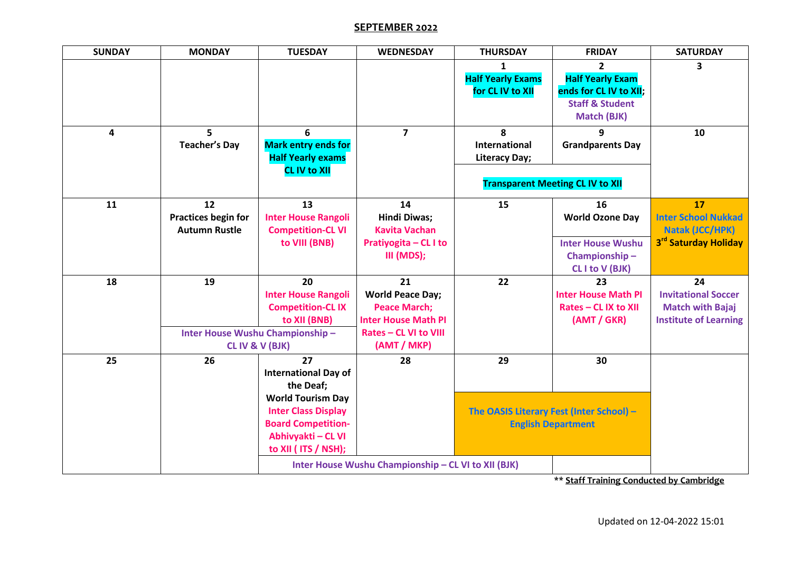### **SEPTEMBER 2022**

| <b>SUNDAY</b> | <b>MONDAY</b>        | <b>TUESDAY</b>                                          | <b>WEDNESDAY</b>                                    | <b>THURSDAY</b>          | <b>FRIDAY</b>                                                         | <b>SATURDAY</b>              |
|---------------|----------------------|---------------------------------------------------------|-----------------------------------------------------|--------------------------|-----------------------------------------------------------------------|------------------------------|
|               |                      |                                                         |                                                     |                          | $\overline{2}$                                                        | 3                            |
|               |                      |                                                         |                                                     | <b>Half Yearly Exams</b> | <b>Half Yearly Exam</b>                                               |                              |
|               |                      |                                                         |                                                     | for CL IV to XII         | ends for CL IV to XII;                                                |                              |
|               |                      |                                                         |                                                     |                          | <b>Staff &amp; Student</b>                                            |                              |
|               |                      |                                                         |                                                     |                          | Match (BJK)                                                           |                              |
| 4             | 5                    | 6                                                       | $\overline{7}$                                      | 8                        | 9                                                                     | 10                           |
|               | <b>Teacher's Day</b> | <b>Mark entry ends for</b>                              |                                                     | International            | <b>Grandparents Day</b>                                               |                              |
|               |                      | <b>Half Yearly exams</b>                                |                                                     | <b>Literacy Day;</b>     |                                                                       |                              |
|               |                      | <b>CLIV to XII</b>                                      |                                                     |                          |                                                                       |                              |
|               |                      |                                                         |                                                     |                          | <b>Transparent Meeting CL IV to XII</b>                               |                              |
| 11            | 12                   | 13                                                      | 14                                                  | 15                       | 16                                                                    | 17                           |
|               | Practices begin for  | <b>Inter House Rangoli</b>                              | <b>Hindi Diwas;</b>                                 |                          | <b>World Ozone Day</b>                                                | <b>Inter School Nukkad</b>   |
|               | <b>Autumn Rustle</b> | <b>Competition-CL VI</b>                                | <b>Kavita Vachan</b>                                |                          |                                                                       | <b>Natak (JCC/HPK)</b>       |
|               |                      | to VIII (BNB)                                           | Pratiyogita - CL I to                               |                          | <b>Inter House Wushu</b>                                              | 3rd Saturday Holiday         |
|               |                      |                                                         | $III$ (MDS);                                        |                          | Championship-                                                         |                              |
|               |                      |                                                         |                                                     |                          | CL I to V (BJK)                                                       |                              |
| 18            | 19                   | 20                                                      | 21                                                  | 22                       | 23                                                                    | 24                           |
|               |                      | <b>Inter House Rangoli</b>                              | <b>World Peace Day;</b>                             |                          | <b>Inter House Math PI</b>                                            | <b>Invitational Soccer</b>   |
|               |                      | <b>Competition-CLIX</b>                                 | <b>Peace March;</b>                                 |                          | Rates - CL IX to XII                                                  | <b>Match with Bajaj</b>      |
|               |                      | to XII (BNB)                                            | <b>Inter House Math PI</b>                          |                          | (AMT / GKR)                                                           | <b>Institute of Learning</b> |
|               |                      | Inter House Wushu Championship-                         | Rates - CL VI to VIII                               |                          |                                                                       |                              |
|               |                      | CL IV & V (BJK)                                         | (AMT / MKP)                                         |                          |                                                                       |                              |
| 25            | 26                   | 27                                                      | 28                                                  | 29                       | 30                                                                    |                              |
|               |                      | <b>International Day of</b>                             |                                                     |                          |                                                                       |                              |
|               |                      | the Deaf;                                               |                                                     |                          |                                                                       |                              |
|               |                      | <b>World Tourism Day</b>                                |                                                     |                          |                                                                       |                              |
|               |                      | <b>Inter Class Display</b><br><b>Board Competition-</b> |                                                     |                          | The OASIS Literary Fest (Inter School) -<br><b>English Department</b> |                              |
|               |                      | Abhivyakti - CL VI                                      |                                                     |                          |                                                                       |                              |
|               |                      | to XII (ITS / NSH);                                     |                                                     |                          |                                                                       |                              |
|               |                      |                                                         | Inter House Wushu Championship - CL VI to XII (BJK) |                          |                                                                       |                              |
|               |                      |                                                         |                                                     |                          |                                                                       |                              |

**\*\* Staff Training Conducted by Cambridge**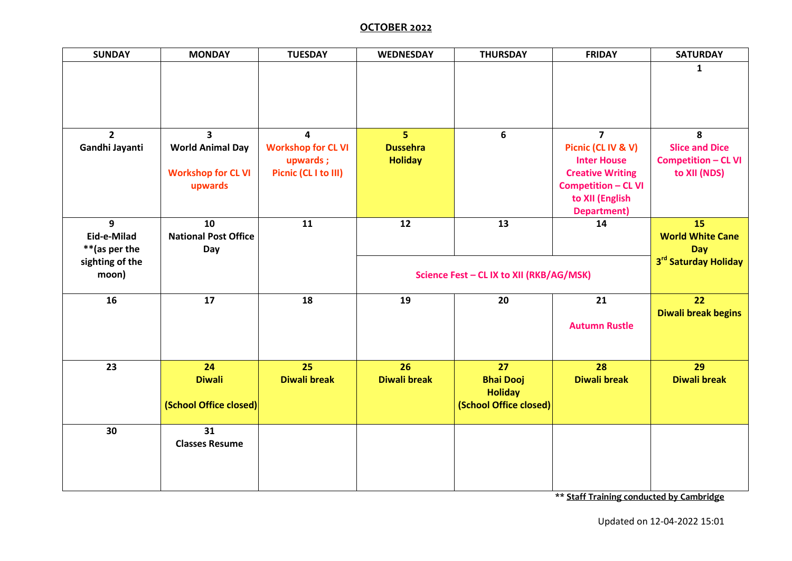## **OCTOBER 2022**

| <b>SUNDAY</b>                      | <b>MONDAY</b>                                                                              | <b>TUESDAY</b>                                                                           | <b>WEDNESDAY</b>                                    | <b>THURSDAY</b>                                                    | <b>FRIDAY</b>                                                                                                                                                | <b>SATURDAY</b>                                                          |
|------------------------------------|--------------------------------------------------------------------------------------------|------------------------------------------------------------------------------------------|-----------------------------------------------------|--------------------------------------------------------------------|--------------------------------------------------------------------------------------------------------------------------------------------------------------|--------------------------------------------------------------------------|
|                                    |                                                                                            |                                                                                          |                                                     |                                                                    |                                                                                                                                                              | $\mathbf{1}$                                                             |
| $\overline{2}$<br>Gandhi Jayanti   | $\overline{\mathbf{3}}$<br><b>World Animal Day</b><br><b>Workshop for CL VI</b><br>upwards | $\overline{\mathbf{4}}$<br><b>Workshop for CL VI</b><br>upwards;<br>Picnic (CL I to III) | 5 <sup>1</sup><br><b>Dussehra</b><br><b>Holiday</b> | 6                                                                  | $\overline{7}$<br>Picnic (CL IV & V)<br><b>Inter House</b><br><b>Creative Writing</b><br><b>Competition - CL VI</b><br>to XII (English<br><b>Department)</b> | 8<br><b>Slice and Dice</b><br><b>Competition - CL VI</b><br>to XII (NDS) |
| 9<br>Eid-e-Milad<br>** (as per the | 10<br><b>National Post Office</b><br>Day                                                   | 11                                                                                       | 12                                                  | 13                                                                 | 14                                                                                                                                                           | 15<br><b>World White Cane</b><br><b>Day</b>                              |
| sighting of the<br>moon)           |                                                                                            |                                                                                          | Science Fest - CL IX to XII (RKB/AG/MSK)            | 3rd Saturday Holiday                                               |                                                                                                                                                              |                                                                          |
| 16                                 | 17                                                                                         | 18                                                                                       | 19                                                  | 20                                                                 | 21<br><b>Autumn Rustle</b>                                                                                                                                   | 22<br><b>Diwali break begins</b>                                         |
| 23                                 | 24<br><b>Diwali</b><br>(School Office closed)                                              | 25<br><b>Diwali break</b>                                                                | 26<br><b>Diwali break</b>                           | 27<br><b>Bhai Dooj</b><br><b>Holiday</b><br>(School Office closed) | 28<br><b>Diwali break</b>                                                                                                                                    | 29<br><b>Diwali break</b>                                                |
| 30                                 | 31<br><b>Classes Resume</b>                                                                |                                                                                          |                                                     |                                                                    |                                                                                                                                                              |                                                                          |

**\*\* Staff Training conducted by Cambridge**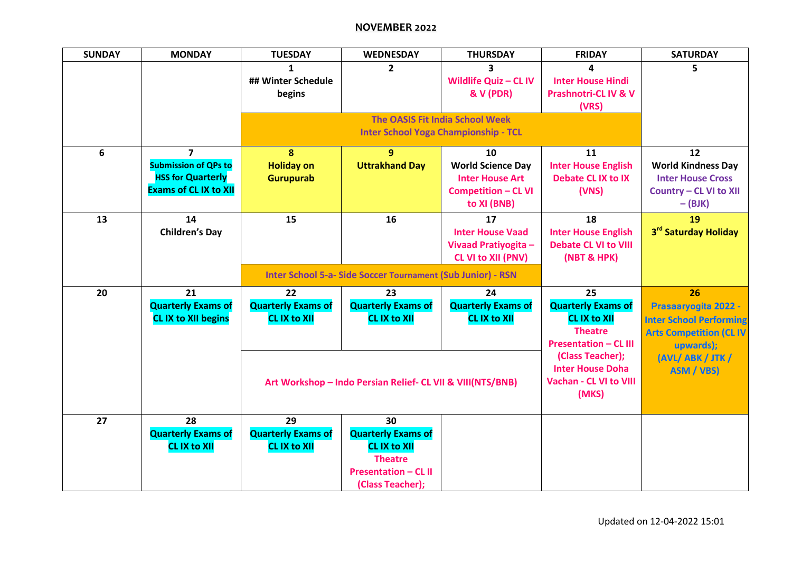#### **NOVEMBER 2022**

| <b>SUNDAY</b> | <b>MONDAY</b>                                                                                             | <b>TUESDAY</b>                                        | <b>WEDNESDAY</b>                                                                                                           | <b>THURSDAY</b>                                                                                       | <b>FRIDAY</b>                                                                                           | <b>SATURDAY</b>                                                                                            |
|---------------|-----------------------------------------------------------------------------------------------------------|-------------------------------------------------------|----------------------------------------------------------------------------------------------------------------------------|-------------------------------------------------------------------------------------------------------|---------------------------------------------------------------------------------------------------------|------------------------------------------------------------------------------------------------------------|
|               |                                                                                                           | ## Winter Schedule<br>begins                          | $\mathbf{2}$                                                                                                               | 3<br><b>Wildlife Quiz - CL IV</b><br><b>&amp; V (PDR)</b>                                             | <b>Inter House Hindi</b><br><b>Prashnotri-CL IV &amp; V</b><br>(VRS)                                    | 5.                                                                                                         |
|               |                                                                                                           |                                                       | The OASIS Fit India School Week<br><b>Inter School Yoga Championship - TCL</b>                                             |                                                                                                       |                                                                                                         |                                                                                                            |
| 6             | $\overline{7}$<br><b>Submission of QPs to</b><br><b>HSS for Quarterly</b><br><b>Exams of CL IX to XII</b> | $\mathbf{R}$<br><b>Holiday on</b><br><b>Gurupurab</b> | 9<br><b>Uttrakhand Day</b>                                                                                                 | 10<br><b>World Science Day</b><br><b>Inter House Art</b><br><b>Competition - CL VI</b><br>to XI (BNB) | 11<br><b>Inter House English</b><br><b>Debate CLIX to IX</b><br>(VNS)                                   | 12<br><b>World Kindness Day</b><br><b>Inter House Cross</b><br><b>Country - CL VI to XII</b><br>$-$ (BJK)  |
| 13            | 14<br><b>Children's Day</b>                                                                               | 15                                                    | 16                                                                                                                         | 17<br><b>Inter House Vaad</b><br>Vivaad Pratiyogita -<br><b>CL VI to XII (PNV)</b>                    | 18<br><b>Inter House English</b><br><b>Debate CL VI to VIII</b><br>(NBT & HPK)                          | 19<br>3rd Saturday Holiday                                                                                 |
|               |                                                                                                           |                                                       | Inter School 5-a- Side Soccer Tournament (Sub Junior) - RSN                                                                |                                                                                                       |                                                                                                         |                                                                                                            |
| 20            | 21<br><b>Quarterly Exams of</b><br><b>CLIX to XII begins</b>                                              | 22<br><b>Quarterly Exams of</b><br><b>CLIX to XII</b> | 23<br><b>Quarterly Exams of</b><br><b>CLIX to XII</b>                                                                      | 24<br><b>Quarterly Exams of</b><br><b>CLIX to XII</b>                                                 | 25<br><b>Quarterly Exams of</b><br><b>CLIX to XII</b><br><b>Theatre</b><br><b>Presentation - CL III</b> | 26<br>Prasaaryogita 2022 -<br><b>Inter School Performing</b><br><b>Arts Competition (CLIV</b><br>upwards); |
|               |                                                                                                           |                                                       | Art Workshop - Indo Persian Relief- CL VII & VIII(NTS/BNB)                                                                 | (Class Teacher);<br><b>Inter House Doha</b><br><b>Vachan - CL VI to VIII</b><br>(MKS)                 | (AVL/ABK/JTK/<br><b>ASM / VBS)</b>                                                                      |                                                                                                            |
| 27            | 28<br><b>Quarterly Exams of</b><br><b>CLIX to XII</b>                                                     | 29<br><b>Quarterly Exams of</b><br><b>CLIX to XII</b> | 30<br><b>Quarterly Exams of</b><br><b>CLIX to XII</b><br><b>Theatre</b><br><b>Presentation - CL II</b><br>(Class Teacher); |                                                                                                       |                                                                                                         |                                                                                                            |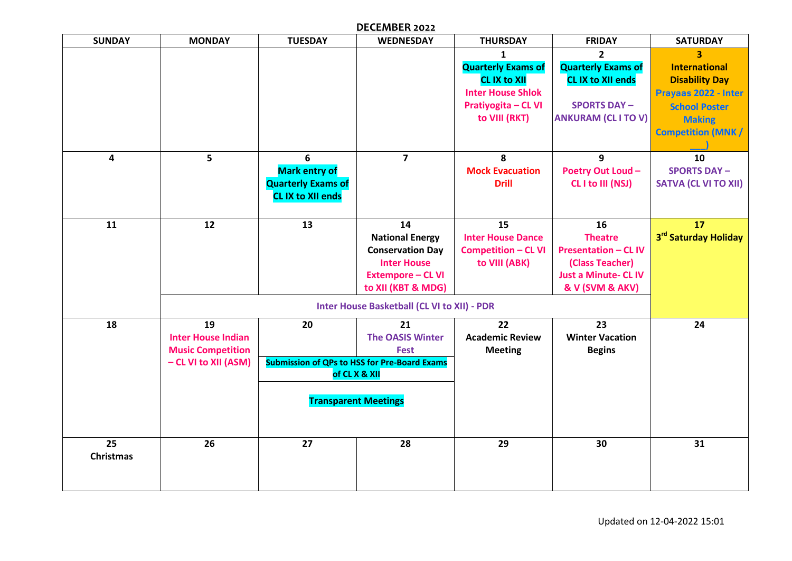|                         |                           |                             | DECEMBER 2022                                       |                            |                             |                             |
|-------------------------|---------------------------|-----------------------------|-----------------------------------------------------|----------------------------|-----------------------------|-----------------------------|
| <b>SUNDAY</b>           | <b>MONDAY</b>             | <b>TUESDAY</b>              | <b>WEDNESDAY</b>                                    | <b>THURSDAY</b>            | <b>FRIDAY</b>               | <b>SATURDAY</b>             |
|                         |                           |                             |                                                     | $\mathbf{1}$               | $\overline{2}$              | $\overline{\mathbf{R}}$     |
|                         |                           |                             |                                                     | <b>Quarterly Exams of</b>  | <b>Quarterly Exams of</b>   | <b>International</b>        |
|                         |                           |                             |                                                     | <b>CLIX to XII</b>         | <b>CLIX to XII ends</b>     | <b>Disability Day</b>       |
|                         |                           |                             |                                                     | <b>Inter House Shlok</b>   |                             | Prayaas 2022 - Inter        |
|                         |                           |                             |                                                     | Pratiyogita - CL VI        | <b>SPORTS DAY-</b>          | <b>School Poster</b>        |
|                         |                           |                             |                                                     | to VIII (RKT)              | <b>ANKURAM (CL I TO V)</b>  | <b>Making</b>               |
|                         |                           |                             |                                                     |                            |                             | <b>Competition (MNK/</b>    |
|                         |                           |                             |                                                     |                            |                             |                             |
| $\overline{\mathbf{4}}$ | 5                         | 6                           | $\overline{7}$                                      | 8                          | $\mathbf{9}$                | 10                          |
|                         |                           | <b>Mark entry of</b>        |                                                     | <b>Mock Evacuation</b>     | Poetry Out Loud -           | <b>SPORTS DAY-</b>          |
|                         |                           | <b>Quarterly Exams of</b>   |                                                     | <b>Drill</b>               | CL I to III (NSJ)           | <b>SATVA (CL VI TO XII)</b> |
|                         |                           | <b>CLIX to XII ends</b>     |                                                     |                            |                             |                             |
|                         |                           |                             |                                                     |                            |                             |                             |
| 11                      | 12                        | 13                          | 14                                                  | 15                         | 16                          | 17                          |
|                         |                           |                             | <b>National Energy</b>                              | <b>Inter House Dance</b>   | <b>Theatre</b>              | 3rd Saturday Holiday        |
|                         |                           |                             | <b>Conservation Day</b>                             | <b>Competition - CL VI</b> | <b>Presentation - CL IV</b> |                             |
|                         |                           |                             | <b>Inter House</b>                                  | to VIII (ABK)              | (Class Teacher)             |                             |
|                         |                           |                             | <b>Extempore - CL VI</b>                            |                            | <b>Just a Minute- CL IV</b> |                             |
|                         |                           |                             | to XII (KBT & MDG)                                  |                            | & V (SVM & AKV)             |                             |
|                         |                           |                             | Inter House Basketball (CL VI to XII) - PDR         |                            |                             |                             |
| 18                      | 19                        | 20                          | 21                                                  | 22                         | 23                          | 24                          |
|                         | <b>Inter House Indian</b> |                             | <b>The OASIS Winter</b>                             | <b>Academic Review</b>     | <b>Winter Vacation</b>      |                             |
|                         | <b>Music Competition</b>  |                             | <b>Fest</b>                                         | <b>Meeting</b>             | <b>Begins</b>               |                             |
|                         | - CL VI to XII (ASM)      |                             | <b>Submission of QPs to HSS for Pre-Board Exams</b> |                            |                             |                             |
|                         |                           |                             | of CL X & XII                                       |                            |                             |                             |
|                         |                           |                             |                                                     |                            |                             |                             |
|                         |                           | <b>Transparent Meetings</b> |                                                     |                            |                             |                             |
|                         |                           |                             |                                                     |                            |                             |                             |
|                         |                           |                             |                                                     |                            |                             |                             |
| 25                      | 26                        | 27                          | 28                                                  | 29                         | 30                          | 31                          |
| <b>Christmas</b>        |                           |                             |                                                     |                            |                             |                             |
|                         |                           |                             |                                                     |                            |                             |                             |
|                         |                           |                             |                                                     |                            |                             |                             |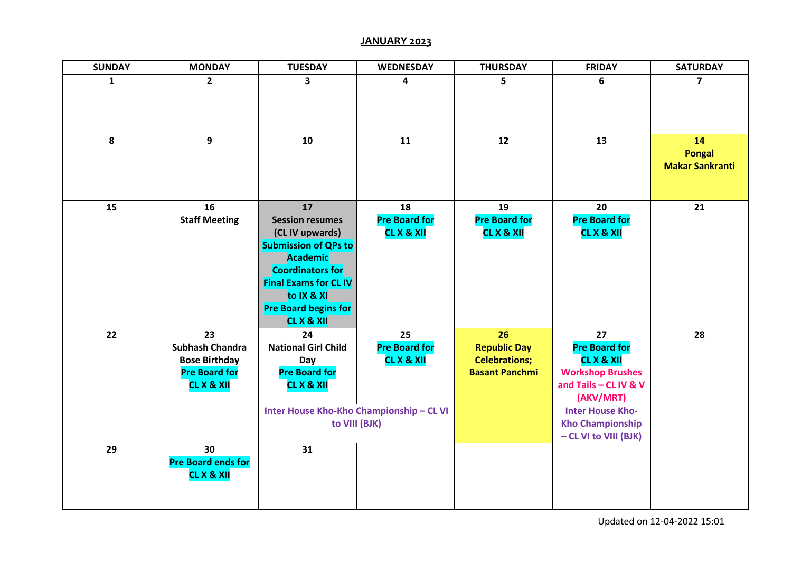# **JANUARY 2023**

| <b>SUNDAY</b> | <b>MONDAY</b>             | <b>TUESDAY</b>                                          | <b>WEDNESDAY</b>                         | <b>THURSDAY</b>       | <b>FRIDAY</b>           | <b>SATURDAY</b>         |
|---------------|---------------------------|---------------------------------------------------------|------------------------------------------|-----------------------|-------------------------|-------------------------|
| $\mathbf{1}$  | $\overline{2}$            | 3                                                       | 4                                        | 5                     | 6                       | $\overline{\mathbf{z}}$ |
|               |                           |                                                         |                                          |                       |                         |                         |
|               |                           |                                                         |                                          |                       |                         |                         |
|               |                           |                                                         |                                          |                       |                         |                         |
| 8             | $\overline{9}$            | 10                                                      | 11                                       | 12                    | 13                      | 14                      |
|               |                           |                                                         |                                          |                       |                         | <b>Pongal</b>           |
|               |                           |                                                         |                                          |                       |                         | <b>Makar Sankranti</b>  |
|               |                           |                                                         |                                          |                       |                         |                         |
|               |                           |                                                         |                                          |                       |                         |                         |
| 15            | 16                        | 17                                                      | 18                                       | 19                    | 20                      | 21                      |
|               | <b>Staff Meeting</b>      | <b>Session resumes</b>                                  | <b>Pre Board for</b>                     | <b>Pre Board for</b>  | <b>Pre Board for</b>    |                         |
|               |                           | (CLIV upwards)                                          | <b>CL X &amp; XII</b>                    | <b>CLX&amp;XII</b>    | <b>CL X &amp; XII</b>   |                         |
|               |                           | <b>Submission of QPs to</b>                             |                                          |                       |                         |                         |
|               |                           | <b>Academic</b>                                         |                                          |                       |                         |                         |
|               |                           | <b>Coordinators for</b><br><b>Final Exams for CL IV</b> |                                          |                       |                         |                         |
|               |                           | to IX & XI                                              |                                          |                       |                         |                         |
|               |                           | <b>Pre Board begins for</b>                             |                                          |                       |                         |                         |
|               |                           | <b>CLX&amp;XII</b>                                      |                                          |                       |                         |                         |
| 22            | 23                        | 24                                                      | 25                                       | 26                    | 27                      | 28                      |
|               | <b>Subhash Chandra</b>    | <b>National Girl Child</b>                              | <b>Pre Board for</b>                     | <b>Republic Day</b>   | <b>Pre Board for</b>    |                         |
|               | <b>Bose Birthday</b>      | Day                                                     | <b>CL X &amp; XII</b>                    | <b>Celebrations;</b>  | <b>CL X &amp; XII</b>   |                         |
|               | <b>Pre Board for</b>      | <b>Pre Board for</b>                                    |                                          | <b>Basant Panchmi</b> | <b>Workshop Brushes</b> |                         |
|               | <b>CL X &amp; XII</b>     | <b>CLX&amp;XII</b>                                      |                                          |                       | and Tails - CL IV & V   |                         |
|               |                           |                                                         |                                          |                       | (AKV/MRT)               |                         |
|               |                           |                                                         | Inter House Kho-Kho Championship - CL VI |                       | <b>Inter House Kho-</b> |                         |
|               |                           | to VIII (BJK)                                           |                                          |                       | <b>Kho Championship</b> |                         |
|               |                           |                                                         |                                          |                       | - CL VI to VIII (BJK)   |                         |
| 29            | 30                        | 31                                                      |                                          |                       |                         |                         |
|               | <b>Pre Board ends for</b> |                                                         |                                          |                       |                         |                         |
|               | <b>CL X &amp; XII</b>     |                                                         |                                          |                       |                         |                         |
|               |                           |                                                         |                                          |                       |                         |                         |
|               |                           |                                                         |                                          |                       |                         |                         |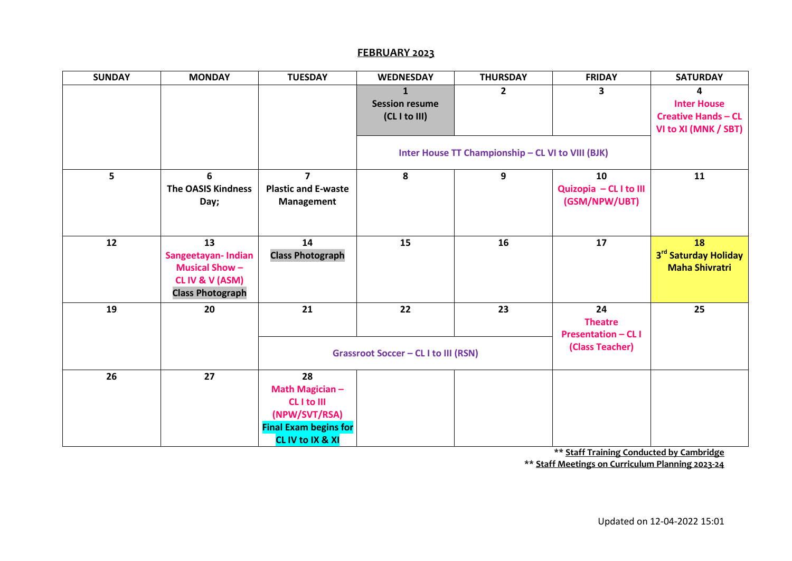#### **FEBRUARY 2023**

| <b>SUNDAY</b> | <b>MONDAY</b>                                                                                 | <b>TUESDAY</b>                                                                                                            | <b>WEDNESDAY</b>                                                                                                                 | <b>THURSDAY</b>                                   | <b>FRIDAY</b>                                 | <b>SATURDAY</b>                                                               |
|---------------|-----------------------------------------------------------------------------------------------|---------------------------------------------------------------------------------------------------------------------------|----------------------------------------------------------------------------------------------------------------------------------|---------------------------------------------------|-----------------------------------------------|-------------------------------------------------------------------------------|
|               |                                                                                               |                                                                                                                           | 1<br><b>Session resume</b><br>(CLI to III)                                                                                       | $\mathbf{2}$                                      | 3                                             | 4<br><b>Inter House</b><br><b>Creative Hands - CL</b><br>VI to XI (MNK / SBT) |
|               |                                                                                               |                                                                                                                           |                                                                                                                                  | Inter House TT Championship - CL VI to VIII (BJK) |                                               |                                                                               |
| 5             | 6<br><b>The OASIS Kindness</b><br>Day;                                                        | $\overline{7}$<br><b>Plastic and E-waste</b><br><b>Management</b>                                                         | 8                                                                                                                                | 9                                                 | 10<br>Quizopia - CL I to III<br>(GSM/NPW/UBT) | 11                                                                            |
| 12            | 13<br>Sangeetayan- Indian<br><b>Musical Show-</b><br>CLIV& V (ASM)<br><b>Class Photograph</b> | 14<br><b>Class Photograph</b>                                                                                             | 15                                                                                                                               | 16                                                | 17                                            | 18<br>3rd Saturday Holiday<br><b>Maha Shivratri</b>                           |
| 19            | 20                                                                                            | 21                                                                                                                        | 22<br>23<br>24<br><b>Theatre</b><br><b>Presentation - CL I</b><br>(Class Teacher)<br><b>Grassroot Soccer - CL I to III (RSN)</b> |                                                   |                                               |                                                                               |
| 26            | 27                                                                                            | 28<br>Math Magician-<br><b>CLI</b> to III<br>(NPW/SVT/RSA)<br><b>Final Exam begins for</b><br><b>CL IV to IX &amp; XI</b> |                                                                                                                                  |                                                   |                                               |                                                                               |

**\*\* Staff Training Conducted by Cambridge** 

**\*\* Staff Meetings on Curriculum Planning 2023-24**